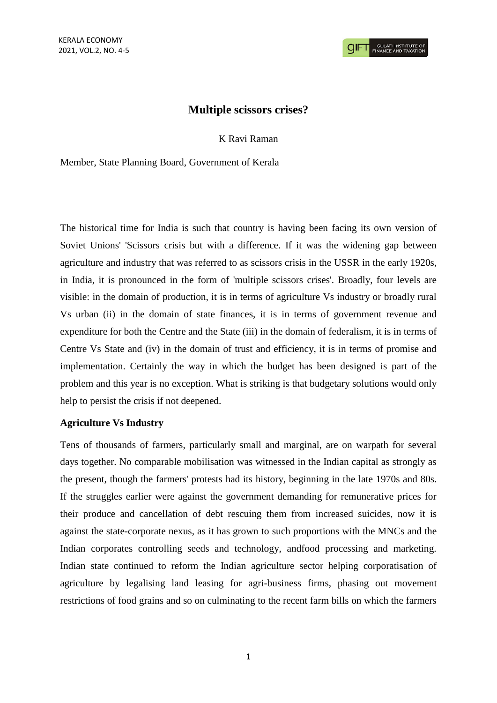# **Multiple scissors crises?**

K Ravi Raman

Member, State Planning Board, Government of Kerala

The historical time for India is such that country is having been facing its own version of Soviet Unions' 'Scissors crisis but with a difference. If it was the widening gap between agriculture and industry that was referred to as scissors crisis in the USSR in the early 1920s, in India, it is pronounced in the form of 'multiple scissors crises'. Broadly, four levels are visible: in the domain of production, it is in terms of agriculture Vs industry or broadly rural Vs urban (ii) in the domain of state finances, it is in terms of government revenue and expenditure for both the Centre and the State (iii) in the domain of federalism, it is in terms of Centre Vs State and (iv) in the domain of trust and efficiency, it is in terms of promise and implementation. Certainly the way in which the budget has been designed is part of the problem and this year is no exception. What is striking is that budgetary solutions would only help to persist the crisis if not deepened.

### **Agriculture Vs Industry**

Tens of thousands of farmers, particularly small and marginal, are on warpath for several days together. No comparable mobilisation was witnessed in the Indian capital as strongly as the present, though the farmers' protests had its history, beginning in the late 1970s and 80s. If the struggles earlier were against the government demanding for remunerative prices for their produce and cancellation of debt rescuing them from increased suicides, now it is against the state-corporate nexus, as it has grown to such proportions with the MNCs and the Indian corporates controlling seeds and technology, andfood processing and marketing. Indian state continued to reform the Indian agriculture sector helping corporatisation of agriculture by legalising land leasing for agri-business firms, phasing out movement restrictions of food grains and so on culminating to the recent farm bills on which the farmers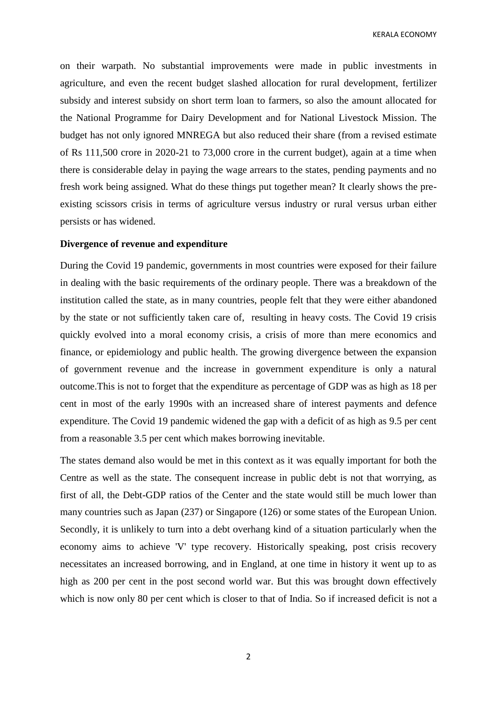KERALA ECONOMY

on their warpath. No substantial improvements were made in public investments in agriculture, and even the recent budget slashed allocation for rural development, fertilizer subsidy and interest subsidy on short term loan to farmers, so also the amount allocated for the National Programme for Dairy Development and for National Livestock Mission. The budget has not only ignored MNREGA but also reduced their share (from a revised estimate of Rs 111,500 crore in 2020-21 to 73,000 crore in the current budget), again at a time when there is considerable delay in paying the wage arrears to the states, pending payments and no fresh work being assigned. What do these things put together mean? It clearly shows the preexisting scissors crisis in terms of agriculture versus industry or rural versus urban either persists or has widened.

#### **Divergence of revenue and expenditure**

During the Covid 19 pandemic, governments in most countries were exposed for their failure in dealing with the basic requirements of the ordinary people. There was a breakdown of the institution called the state, as in many countries, people felt that they were either abandoned by the state or not sufficiently taken care of, resulting in heavy costs. The Covid 19 crisis quickly evolved into a moral economy crisis, a crisis of more than mere economics and finance, or epidemiology and public health. The growing divergence between the expansion of government revenue and the increase in government expenditure is only a natural outcome.This is not to forget that the expenditure as percentage of GDP was as high as 18 per cent in most of the early 1990s with an increased share of interest payments and defence expenditure. The Covid 19 pandemic widened the gap with a deficit of as high as 9.5 per cent from a reasonable 3.5 per cent which makes borrowing inevitable.

The states demand also would be met in this context as it was equally important for both the Centre as well as the state. The consequent increase in public debt is not that worrying, as first of all, the Debt-GDP ratios of the Center and the state would still be much lower than many countries such as Japan (237) or Singapore (126) or some states of the European Union. Secondly, it is unlikely to turn into a debt overhang kind of a situation particularly when the economy aims to achieve 'V' type recovery. Historically speaking, post crisis recovery necessitates an increased borrowing, and in England, at one time in history it went up to as high as 200 per cent in the post second world war. But this was brought down effectively which is now only 80 per cent which is closer to that of India. So if increased deficit is not a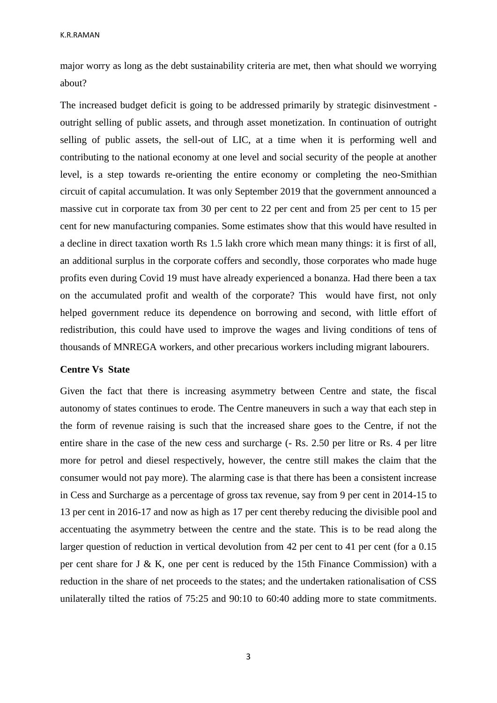major worry as long as the debt sustainability criteria are met, then what should we worrying about?

The increased budget deficit is going to be addressed primarily by strategic disinvestment outright selling of public assets, and through asset monetization. In continuation of outright selling of public assets, the sell-out of LIC, at a time when it is performing well and contributing to the national economy at one level and social security of the people at another level, is a step towards re-orienting the entire economy or completing the neo-Smithian circuit of capital accumulation. It was only September 2019 that the government announced a massive cut in corporate tax from 30 per cent to 22 per cent and from 25 per cent to 15 per cent for new manufacturing companies. Some estimates show that this would have resulted in a decline in direct taxation worth Rs 1.5 lakh crore which mean many things: it is first of all, an additional surplus in the corporate coffers and secondly, those corporates who made huge profits even during Covid 19 must have already experienced a bonanza. Had there been a tax on the accumulated profit and wealth of the corporate? This would have first, not only helped government reduce its dependence on borrowing and second, with little effort of redistribution, this could have used to improve the wages and living conditions of tens of thousands of MNREGA workers, and other precarious workers including migrant labourers.

#### **Centre Vs State**

Given the fact that there is increasing asymmetry between Centre and state, the fiscal autonomy of states continues to erode. The Centre maneuvers in such a way that each step in the form of revenue raising is such that the increased share goes to the Centre, if not the entire share in the case of the new cess and surcharge (- Rs. 2.50 per litre or Rs. 4 per litre more for petrol and diesel respectively, however, the centre still makes the claim that the consumer would not pay more). The alarming case is that there has been a consistent increase in Cess and Surcharge as a percentage of gross tax revenue, say from 9 per cent in 2014-15 to 13 per cent in 2016-17 and now as high as 17 per cent thereby reducing the divisible pool and accentuating the asymmetry between the centre and the state. This is to be read along the larger question of reduction in vertical devolution from 42 per cent to 41 per cent (for a 0.15 per cent share for J & K, one per cent is reduced by the 15th Finance Commission) with a reduction in the share of net proceeds to the states; and the undertaken rationalisation of CSS unilaterally tilted the ratios of 75:25 and 90:10 to 60:40 adding more to state commitments.